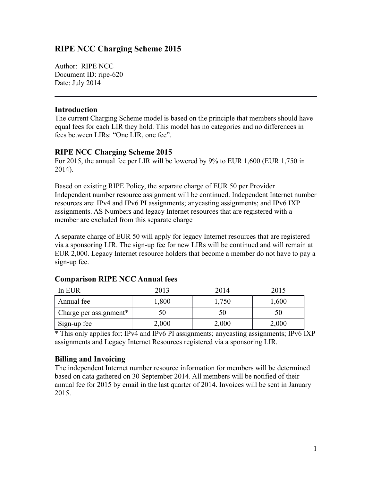# **RIPE NCC Charging Scheme 2015**

Author: RIPE NCC Document ID: ripe-620 Date: July 2014

#### **Introduction**

The current Charging Scheme model is based on the principle that members should have equal fees for each LIR they hold. This model has no categories and no differences in fees between LIRs: "One LIR, one fee".

### **RIPE NCC Charging Scheme 2015**

For 2015, the annual fee per LIR will be lowered by 9% to EUR 1,600 (EUR 1,750 in 2014).

Based on existing RIPE Policy, the separate charge of EUR 50 per Provider Independent number resource assignment will be continued. Independent Internet number resources are: IPv4 and IPv6 PI assignments; anycasting assignments; and IPv6 IXP assignments. AS Numbers and legacy Internet resources that are registered with a member are excluded from this separate charge

A separate charge of EUR 50 will apply for legacy Internet resources that are registered via a sponsoring LIR. The sign-up fee for new LIRs will be continued and will remain at EUR 2,000. Legacy Internet resource holders that become a member do not have to pay a sign-up fee.

| In EUR                 | 2013  | 2014  | 2015  |
|------------------------|-------|-------|-------|
| Annual fee             | 1,800 | 1,750 | 1,600 |
| Charge per assignment* | 50    | 50    | 50    |
| Sign-up fee            | 2,000 | 2,000 | 2,000 |

### **Comparison RIPE NCC Annual fees**

\* This only applies for: IPv4 and IPv6 PI assignments; anycasting assignments; IPv6 IXP assignments and Legacy Internet Resources registered via a sponsoring LIR.

### **Billing and Invoicing**

The independent Internet number resource information for members will be determined based on data gathered on 30 September 2014. All members will be notified of their annual fee for 2015 by email in the last quarter of 2014. Invoices will be sent in January 2015.